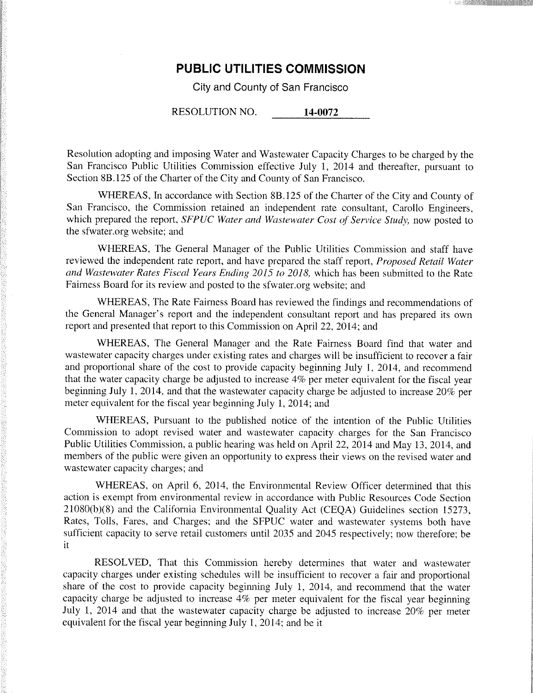# **PUBLIC UTILITIES COMMISSION**

City and County of San Francisco

RESOLUTION NO. **14-0072** 

Resolution adopting and imposing Water and Wastewater Capacity Charges to be charged by the San Francisco Public Utilities Commission effective July 1, 2014 and thereafter, pursuant to Section 8B. 125 of the Charter of the City and County of San Francisco.

WHEREAS, In accordance with Section 8B.125 of the Charter of the City and County of San Francisco, the Commission retained an independent rate consultant, Carollo Engineers, which prepared the report, *SFPUC Water and Wastewater Cost of Service Study,* now posted to the sfwater.org website; and

WHEREAS, The General Manager of the Public Utilities Commission and staff have reviewed the independent rate report, and have prepared the staff report, *Proposed Retail Water and Wastewater Rates Fiscal Years Ending 2015 to 2018,* which has been submitted to the Rate Fairness Board for its review and posted to the sfwater.org website; and

WHEREAS, The Rate Fairness Board has reviewed the findings and recommendations of the General Manager's report and the independent consultant report and has prepared its own report and presented that report to this Commission on April 22, 2014; and

WHEREAS, The General Manager and the Rate Fairness Board find that water and wastewater capacity charges under existing rates and charges will be insufficient to recover a fair and proportional share of the cost to provide capacity beginning July 1, 2014, and recommend that the water capacity charge be adjusted to increase 4% per meter equivalent for the fiscal year beginning July 1, 2014, and that the wastewater capacity charge be adjusted to increase 20% per meter equivalent for the fiscal year beginning July 1, 2014; and

WHEREAS, Pursuant to the published notice of the intention of the Public Utilities Commission to adopt revised water and wastewater capacity charges for the San Francisco Public Utilities Commission, a public hearing was held on April 22, 2014 and May 13, 2014, and members of the public were given an opportunity to express their views on the revised water and wastewater capacity charges; and

WHEREAS, on April 6, 2014, the Environmental Review Officer determined that this action is exempt from environmental review in accordance with Public Resources Code Section 21080(b)(8) and the California Environmental Quality Act (CEQA) Guidelines section 15273, Rates, Tolls, Fares, and Charges; and the SFPUC water and wastewater systems both have sufficient capacity to serve retail customers until 2035 and 2045 respectively; now therefore; be it

RESOLVED, That this Commission hereby determines that water and wastewater capacity charges under existing schedules will be insufficient to recover a fair and proportional share of the cost to provide capacity beginning July 1, 2014, and recommend that the water capacity charge be adjusted to increase 4% per meter equivalent for the fiscal year beginning July 1, 2014 and that the wastewater capacity charge be adjusted to increase 20% per meter equivalent for the fiscal year beginning July 1, 2014; and be it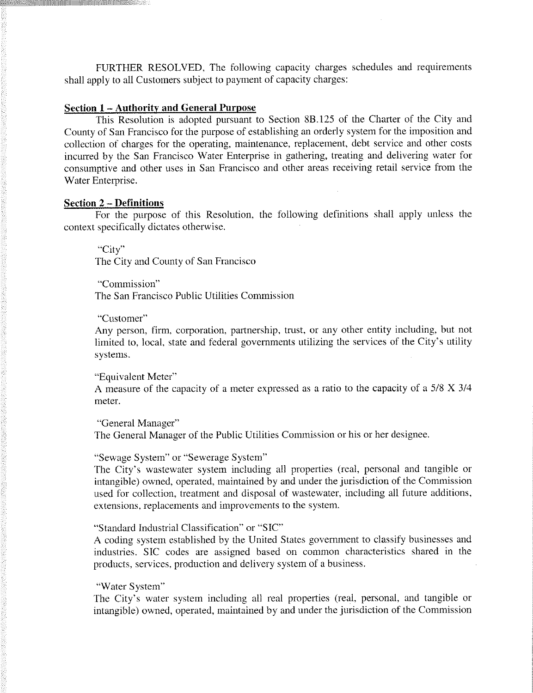FURTHER RESOLVED, The following capacity charges schedules and requirements shall apply to all Customers subject to payment of capacity charges:

### **Section 1 - Authority and General Purpose**

This Resolution is adopted pursuant to Section 8B.125 of the Charter of the City and County of San Francisco for the purpose of establishing an orderly system for the imposition and collection of charges for the operating, maintenance, replacement, debt service and other costs incurred by the San Francisco Water Enterprise in gathering, treating and delivering water for consumptive and other uses in San Francisco and other areas receiving retail service from the Water Enterprise.

### **Section 2 - Definitions**

For the purpose of this Resolution, the following definitions shall apply unless the context specifically dictates otherwise.

"City" The City and County of San Francisco

"Commission" The San Francisco Public Utilities Commission

#### "Customer"

Any person, firm, corporation, partnership, trust, or any other entity including, but not limited to, local, state and federal governments utilizing the services of the City's utility  $\mathbf{A}$  are person, corporation, partnership, trust, or any other entity including, but not  $\mathbf{A}$ limited to, local, state and federal governments utilizing the services of the City's utility

### "Equivalent Meter"

A measure of the capacity of a meter expressed as a ratio to the capacity of a  $5/8$  X  $3/4$  $\mathbf{m}$  meter.

"General Manager"

The General Manager of the Public Utilities Commission or his or her designee. The General Manager of the Public Utilities Commission or his or her designee.

### "Sewage System" or "Sewerage System"

The City's wastewater system including all properties (real, personal and tangible or intangible) owned, operated, maintained by and under the jurisdiction of the Commission used for collection, treatment and disposal of wastewater, including all future additions, extensions, replacements and improvements to the system.

"Standard Industrial Classification" or "SIC"

A coding system established by the United States government to classify businesses and industries. SIC codes are assigned based on common characteristics shared in the products, services, production and delivery system of a business.

### "Water System"

The City's water system including all real properties (real, personal, and tangible or intangible) owned, operated, maintained by and under the jurisdiction of the Commission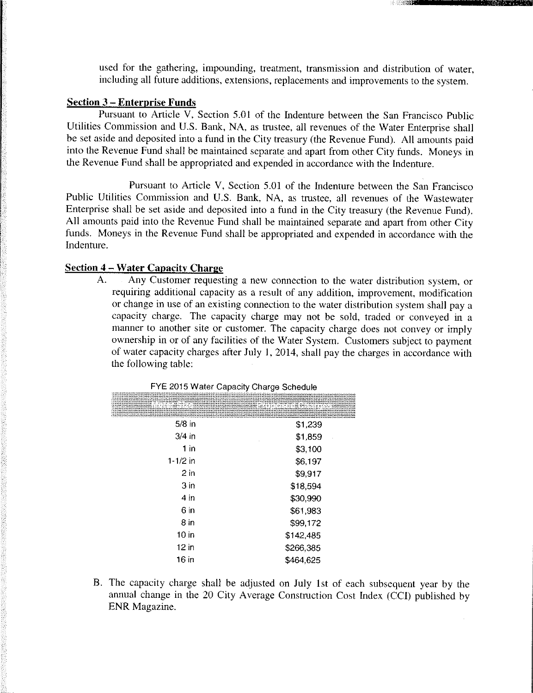used for the gathering, impounding, treatment, transmission and distribution of water, including all future additions, extensions, replacements and improvements to the system.

#### **Section 3 - Enterprise Funds**

Pursuant to Article V, Section 5.01 of the Indenture between the San Francisco Public Utilities Commission and U.S. Bank, NA, as trustee, all revenues of the Water Enterprise shall be set aside and deposited into a fund in the City treasury (the Revenue Fund). All amounts paid into the Revenue Fund shall be maintained separate and apart from other City funds. Moneys in the Revenue Fund shall be appropriated and expended in accordance with the Indenture.

Pursuant to Article V, Section 5.01 of the Indenture between the San Francisco Public Utilities Commission and U.S. Bank, NA, as trustee, all revenues of the Wastewater Enterprise shall be set aside and deposited into a fund in the City treasury (the Revenue Fund). All amounts paid into the Revenue Fund shall be maintained separate and apart from other City funds. Moneys in the Revenue Fund shall be appropriated and expended in accordance with the Indenture.

## **Section 4 - Water Capacity Charge**

A. Any Customer requesting a new connection to the water distribution system, or requiring additional capacity as a result of any addition, improvement, modification or change in use of an existing connection to the water distribution system shall pay a capacity charge. The capacity charge may not be sold, traded or conveyed in a manner to another site or customer. The capacity charge does not convey or imply ownership in or of any facilities of the Water System. Customers subject to payment of water capacity charges after July 1, 2014, shall pay the charges in accordance with the following table:

|                  | lana Meten Sizemaa aratan kana Groposasi Charges ast |
|------------------|------------------------------------------------------|
| $5/8$ in         | \$1,239                                              |
| $3/4$ in         | \$1,859                                              |
| $1$ in           | \$3,100                                              |
| 1-1/2 in         | \$6,197                                              |
| 2 <sub>in</sub>  | \$9,917                                              |
| 3 <sub>in</sub>  | \$18,594                                             |
| 4 in             | \$30,990                                             |
| 6 in             | \$61,983                                             |
| 8 in             | \$99,172                                             |
| 10 <sub>in</sub> | \$142,485                                            |
| $12$ in          | \$266,385                                            |
| 16 in            | \$464,625                                            |

FYE 2015 Water Capacity Charge Schedule

B. The capacity charge shall be adjusted on July 1st of each subsequent year by the annual change in the 20 City Average Construction Cost Index (CCI) published by ENR Magazine.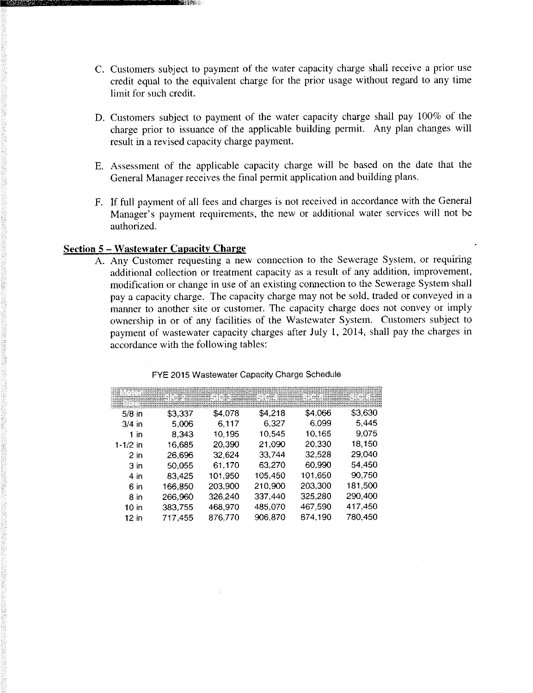- C. Customers subject to payment of the water capacity charge shall receive a prior use credit equal to the equivalent charge for the prior usage without regard to any time limit for such credit.
- D. Customers subject to payment of the water capacity charge shall pay 100% of the charge prior to issuance of the applicable building permit. Any plan changes will result in a revised capacity charge payment.
- E. Assessment of the applicable capacity charge will be based on the date that the General Manager receives the final permit application and building plans.
- F. If full payment of all fees and charges is not received in accordance with the General Manager's payment requirements, the new or additional water services will not be authorized.

## **Section 5 - Wastewater Capacity Charge**

A. Any Customer requesting a new connection to the Sewerage System, or requiring additional collection or treatment capacity as a result of any addition, improvement, modification or change in use of an existing connection to the Sewerage System shall pay a capacity charge. The capacity charge may not be sold, traded or conveyed in a manner to another site or customer. The capacity charge does not convey or imply ownership in or of any facilities of the Wastewater System. Customers subject to payment of wastewater capacity charges after July 1, 2014, shall pay the charges in accordance with the following tables:

|                 | NO. (1954) NASARA SI MAKAMBAN NYA SI MATATANA I MAKAMBAN ILAHA NYA |         |         |         |         |
|-----------------|--------------------------------------------------------------------|---------|---------|---------|---------|
|                 |                                                                    |         |         |         |         |
| $5/8$ in        | \$3,337                                                            | \$4.078 | \$4,218 | \$4,066 | \$3,630 |
| $3/4$ in        | 5,006                                                              | 6,117   | 6.327   | 6.099   | 5,445   |
| 1 in            | 8.343                                                              | 10,195  | 10,545  | 10,165  | 9,075   |
| 1-1/2 in        | 16.685                                                             | 20,390  | 21.090  | 20,330  | 18,150  |
| $2$ in          | 26,696                                                             | 32,624  | 33,744  | 32,528  | 29,040  |
| 3 <sub>in</sub> | 50,055                                                             | 61.170  | 63,270  | 60,990  | 54,450  |
| 4 <sub>in</sub> | 83,425                                                             | 101,950 | 105,450 | 101,650 | 90,750  |
| 6 in            | 166,850                                                            | 203,900 | 210,900 | 203,300 | 181,500 |
| 8 in            | 266,960                                                            | 326,240 | 337.440 | 325,280 | 290,400 |
| 10 in           | 383,755                                                            | 468,970 | 485,070 | 467,590 | 417,450 |
| 12 in           | 717,455                                                            | 876,770 | 906.870 | 874,190 | 780,450 |

FYE 2015 Wastewater Capacity Charge Schedule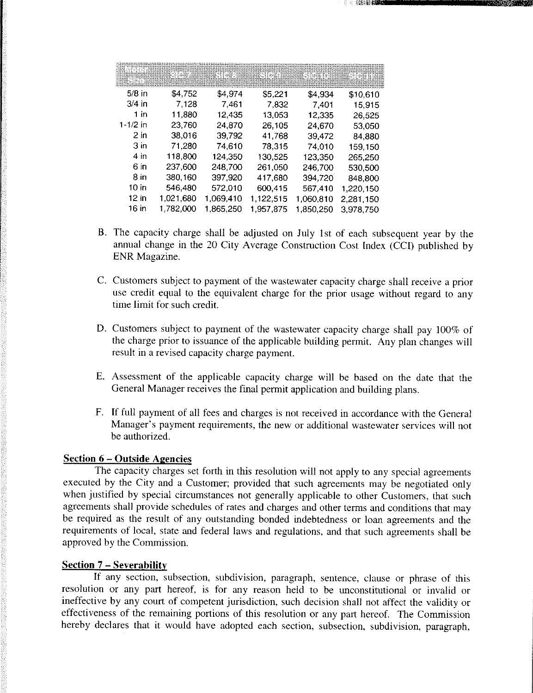|            | RACACHINARA (43 ARTHUR 1 FACTURAL) (43 ARTHUR 1 FACTURAL 1 FACTURAL 1 FACTURAL 1 FACTURAL 1 |           |           |           |           |
|------------|---------------------------------------------------------------------------------------------|-----------|-----------|-----------|-----------|
| $5/8$ in   | \$4,752                                                                                     | \$4,974   | \$5,221   | \$4 934   | \$10,610  |
| $3/4$ in   | 7.128                                                                                       | 7.461     | 7.832     | 7.401     | 15,915    |
| 1 in       | 11,880                                                                                      | 12,435    | 13.053    | 12.335    | 26,525    |
| $1-1/2$ in | 23,760                                                                                      | 24,870    | 26,105    | 24.670    | 53,050    |
| $2$ in     | 38,016                                                                                      | 39,792    | 41,768    | 39.472    | 84,880    |
| 3 in       | 71.280                                                                                      | 74,610    | 78,315    | 74 010    | 159,150   |
| 4 in       | 118,800                                                                                     | 124,350   | 130.525   | 123,350   | 265,250   |
| 6 in       | 237,600                                                                                     | 248,700   | 261,050   | 246.700   | 530,500   |
| 8 in       | 380,160                                                                                     | 397.920   | 417,680   | 394 720   | 848,800   |
| 10 in      | 546,480                                                                                     | 572,010   | 600,415   | 567.410   | 1,220,150 |
| $12$ in    | 1,021,680                                                                                   | 1,069,410 | 1,122,515 | 1,060,810 | 2,281,150 |
| 16 in      | 1,782,000                                                                                   | 1,865,250 | 1,957,875 | 1,850,250 | 3,978,750 |

- B. The capacity charge shall be adjusted on July 1st of each subsequent year by the annual change in the 20 City Average Construction Cost Index (CCI) published by ENR Magazine.
- C. Customers subject to payment of the wastewater capacity charge shall receive a prior use credit equal to the equivalent charge for the prior usage without regard to any time limit for such credit.
- D. Customers subject to payment of the wastewater capacity charge shall pay 100% of the charge prior to issuance of the applicable building permit. Any plan changes will result in a revised capacity charge payment.
- E. Assessment of the applicable capacity charge will be based on the date that the General Manager receives the final permit application and building plans.
- F. If full payment of all fees and charges is not received in accordance with the General Manager's payment requirements, the new or additional wastewater services will not be authorized.

# **Section 6 - Outside Agencies**

The capacity charges set forth in this resolution will not apply to any special agreements executed by the City and a Customer; provided that such agreements may be negotiated only when justified by special circumstances not generally applicable to other Customers, that such agreements shall provide schedules of rates and charges and other terms and conditions that may be required as the result of any outstanding bonded indebtedness or loan agreements and the requirements of local, state and federal laws and regulations, and that such agreements shall be approved by the Commission.

### **Section 7 - Severability**

If any section, subsection, subdivision, paragraph, sentence, clause or phrase of this resolution or any part hereof, is for any reason held to be unconstitutional or invalid or ineffective by any court of competent jurisdiction, such decision shall not affect the validity or effectiveness of the remaining portions of this resolution or any part hereof. The Commission hereby declares that it would have adopted each section, subsection, subdivision, paragraph,